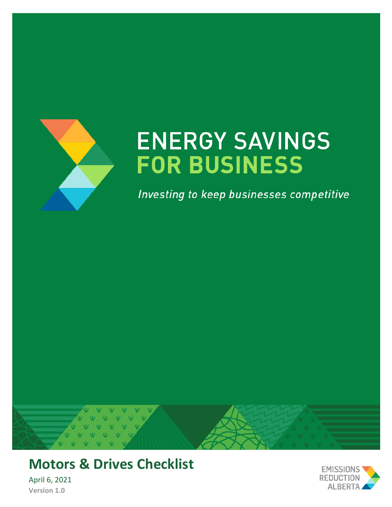

# **ENERGY SAVINGS FOR BUSINESS**

Investing to keep businesses competitive



**Motors & Drives Checklist**

April 6, 2021 **Version 1.0**

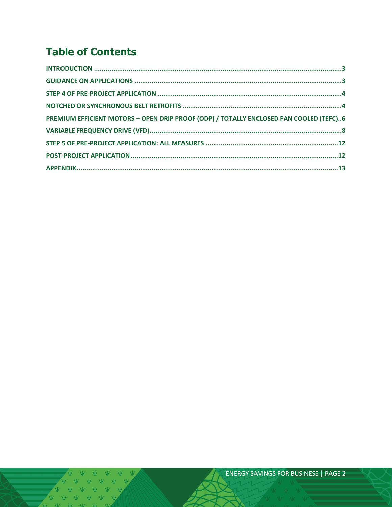## **Table of Contents**

THE WAY WAS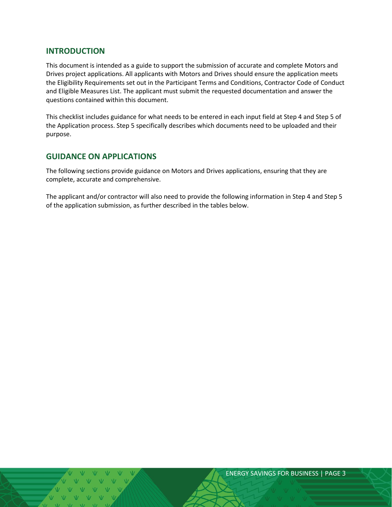### <span id="page-2-0"></span>**INTRODUCTION**

This document is intended as a guide to support the submission of accurate and complete Motors and Drives project applications. All applicants with Motors and Drives should ensure the application meets the Eligibility Requirements set out in the Participant Terms and Conditions, Contractor Code of Conduct and Eligible Measures List. The applicant must submit the requested documentation and answer the questions contained within this document.

This checklist includes guidance for what needs to be entered in each input field at Step 4 and Step 5 of the Application process. Step 5 specifically describes which documents need to be uploaded and their purpose.

## <span id="page-2-1"></span>**GUIDANCE ON APPLICATIONS**

The following sections provide guidance on Motors and Drives applications, ensuring that they are complete, accurate and comprehensive.

The applicant and/or contractor will also need to provide the following information in Step 4 and Step 5 of the application submission, as further described in the tables below.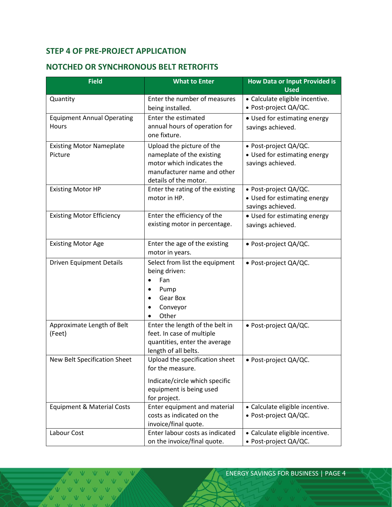## <span id="page-3-0"></span>**STEP 4 OF PRE-PROJECT APPLICATION**

## <span id="page-3-1"></span>**NOTCHED OR SYNCHRONOUS BELT RETROFITS**

| <b>Field</b>                               | <b>What to Enter</b>                                                                                                                        | <b>How Data or Input Provided is</b><br><b>Used</b>                        |
|--------------------------------------------|---------------------------------------------------------------------------------------------------------------------------------------------|----------------------------------------------------------------------------|
| Quantity                                   | Enter the number of measures<br>being installed.                                                                                            | · Calculate eligible incentive.<br>· Post-project QA/QC.                   |
| <b>Equipment Annual Operating</b><br>Hours | Enter the estimated<br>annual hours of operation for<br>one fixture.                                                                        | • Used for estimating energy<br>savings achieved.                          |
| <b>Existing Motor Nameplate</b><br>Picture | Upload the picture of the<br>nameplate of the existing<br>motor which indicates the<br>manufacturer name and other<br>details of the motor. | · Post-project QA/QC.<br>• Used for estimating energy<br>savings achieved. |
| <b>Existing Motor HP</b>                   | Enter the rating of the existing<br>motor in HP.                                                                                            | · Post-project QA/QC.<br>• Used for estimating energy<br>savings achieved. |
| <b>Existing Motor Efficiency</b>           | Enter the efficiency of the<br>existing motor in percentage.                                                                                | • Used for estimating energy<br>savings achieved.                          |
| <b>Existing Motor Age</b>                  | Enter the age of the existing<br>motor in years.                                                                                            | · Post-project QA/QC.                                                      |
| <b>Driven Equipment Details</b>            | Select from list the equipment<br>being driven:<br>Fan<br>$\bullet$<br>Pump<br>٠<br>Gear Box<br>Conveyor<br>Other                           | · Post-project QA/QC.                                                      |
| Approximate Length of Belt<br>(Feet)       | Enter the length of the belt in<br>feet. In case of multiple<br>quantities, enter the average<br>length of all belts.                       | · Post-project QA/QC.                                                      |
| New Belt Specification Sheet               | Upload the specification sheet<br>for the measure.<br>Indicate/circle which specific<br>equipment is being used                             | • Post-project QA/QC.                                                      |
| <b>Equipment &amp; Material Costs</b>      | for project.<br>Enter equipment and material<br>costs as indicated on the<br>invoice/final quote.                                           | • Calculate eligible incentive.<br>· Post-project QA/QC.                   |
| Labour Cost                                | Enter labour costs as indicated<br>on the invoice/final quote.                                                                              | • Calculate eligible incentive.<br>· Post-project QA/QC.                   |

VVV V V V V V V VVVVV VVV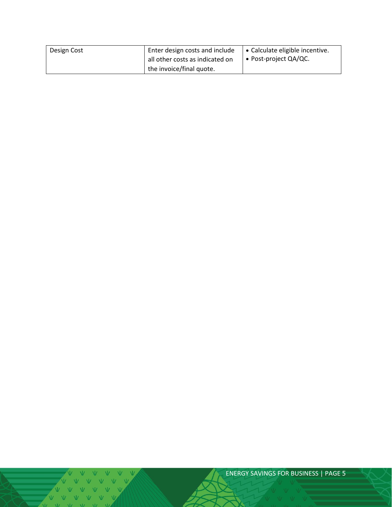| Design Cost | Enter design costs and include  | │ • Calculate eligible incentive. |
|-------------|---------------------------------|-----------------------------------|
|             | all other costs as indicated on | $\cdot$ Post-project QA/QC.       |
|             | the invoice/final quote.        |                                   |

 $V = VU = VU = VU = VU$ 

ENERGY SAVINGS FOR BUSINESS | PAGE 5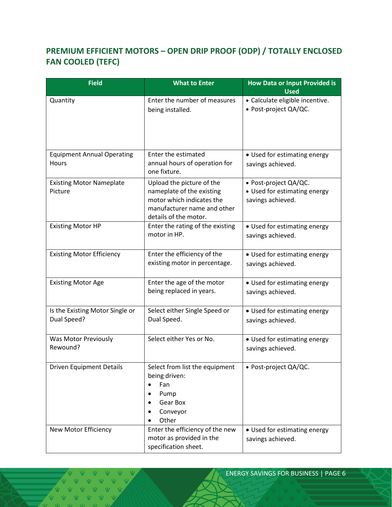## <span id="page-5-0"></span>**PREMIUM EFFICIENT MOTORS – OPEN DRIP PROOF (ODP) / TOTALLY ENCLOSED FAN COOLED (TEFC)**

| <b>Field</b>                                   | <b>What to Enter</b>                                                                                                                        | <b>How Data or Input Provided is</b><br><b>Used</b>                        |
|------------------------------------------------|---------------------------------------------------------------------------------------------------------------------------------------------|----------------------------------------------------------------------------|
| Quantity                                       | Enter the number of measures<br>being installed.                                                                                            | · Calculate eligible incentive.<br>· Post-project QA/QC.                   |
| <b>Equipment Annual Operating</b><br>Hours     | Enter the estimated<br>annual hours of operation for<br>one fixture.                                                                        | • Used for estimating energy<br>savings achieved.                          |
| <b>Existing Motor Nameplate</b><br>Picture     | Upload the picture of the<br>nameplate of the existing<br>motor which indicates the<br>manufacturer name and other<br>details of the motor. | · Post-project QA/QC.<br>• Used for estimating energy<br>savings achieved. |
| <b>Existing Motor HP</b>                       | Enter the rating of the existing<br>motor in HP.                                                                                            | • Used for estimating energy<br>savings achieved.                          |
| <b>Existing Motor Efficiency</b>               | Enter the efficiency of the<br>existing motor in percentage.                                                                                | • Used for estimating energy<br>savings achieved.                          |
| <b>Existing Motor Age</b>                      | Enter the age of the motor<br>being replaced in years.                                                                                      | • Used for estimating energy<br>savings achieved.                          |
| Is the Existing Motor Single or<br>Dual Speed? | Select either Single Speed or<br>Dual Speed.                                                                                                | • Used for estimating energy<br>savings achieved.                          |
| Was Motor Previously<br>Rewound?               | Select either Yes or No.                                                                                                                    | • Used for estimating energy<br>savings achieved.                          |
| <b>Driven Equipment Details</b>                | Select from list the equipment<br>being driven:<br>Fan<br>Pump<br>Gear Box<br>Conveyor<br>Other                                             | · Post-project QA/QC.                                                      |
| New Motor Efficiency                           | Enter the efficiency of the new<br>motor as provided in the<br>specification sheet.                                                         | • Used for estimating energy<br>savings achieved.                          |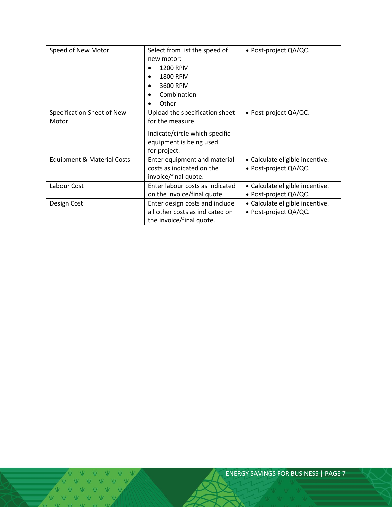| Speed of New Motor                    | Select from list the speed of<br>new motor: | • Post-project QA/QC.           |
|---------------------------------------|---------------------------------------------|---------------------------------|
|                                       | 1200 RPM<br>$\bullet$                       |                                 |
|                                       | 1800 RPM                                    |                                 |
|                                       | 3600 RPM<br>$\bullet$                       |                                 |
|                                       | Combination                                 |                                 |
|                                       | Other                                       |                                 |
| Specification Sheet of New            | Upload the specification sheet              | • Post-project QA/QC.           |
| Motor                                 | for the measure.                            |                                 |
|                                       | Indicate/circle which specific              |                                 |
|                                       | equipment is being used                     |                                 |
|                                       | for project.                                |                                 |
| <b>Equipment &amp; Material Costs</b> | Enter equipment and material                | • Calculate eligible incentive. |
|                                       | costs as indicated on the                   | • Post-project QA/QC.           |
|                                       | invoice/final quote.                        |                                 |
| Labour Cost                           | Enter labour costs as indicated             | • Calculate eligible incentive. |
|                                       | on the invoice/final quote.                 | • Post-project QA/QC.           |
| Design Cost                           | Enter design costs and include              | • Calculate eligible incentive. |
|                                       | all other costs as indicated on             | • Post-project QA/QC.           |
|                                       | the invoice/final quote.                    |                                 |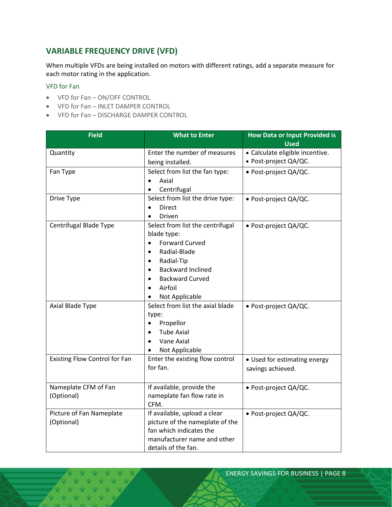## <span id="page-7-0"></span>**VARIABLE FREQUENCY DRIVE (VFD)**

When multiple VFDs are being installed on motors with different ratings, add a separate measure for each motor rating in the application.

#### VFD for Fan

- VFD for Fan ON/OFF CONTROL
- VFD for Fan INLET DAMPER CONTROL
- VFD for Fan DISCHARGE DAMPER CONTROL

| <b>Field</b>                  | <b>What to Enter</b>                  | <b>How Data or Input Provided is</b><br><b>Used</b> |
|-------------------------------|---------------------------------------|-----------------------------------------------------|
|                               | Enter the number of measures          | • Calculate eligible incentive.                     |
| Quantity                      |                                       | · Post-project QA/QC.                               |
|                               | being installed.                      |                                                     |
| Fan Type                      | Select from list the fan type:        | · Post-project QA/QC.                               |
|                               | Axial<br>$\bullet$                    |                                                     |
|                               | Centrifugal                           |                                                     |
| Drive Type                    | Select from list the drive type:      | · Post-project QA/QC.                               |
|                               | Direct<br>$\bullet$                   |                                                     |
|                               | Driven                                |                                                     |
| Centrifugal Blade Type        | Select from list the centrifugal      | · Post-project QA/QC.                               |
|                               | blade type:                           |                                                     |
|                               | <b>Forward Curved</b><br>$\bullet$    |                                                     |
|                               | Radial-Blade<br>$\bullet$             |                                                     |
|                               | Radial-Tip<br>$\bullet$               |                                                     |
|                               | <b>Backward Inclined</b><br>$\bullet$ |                                                     |
|                               | <b>Backward Curved</b>                |                                                     |
|                               | Airfoil<br>$\bullet$                  |                                                     |
|                               | Not Applicable                        |                                                     |
| Axial Blade Type              | Select from list the axial blade      | · Post-project QA/QC.                               |
|                               | type:                                 |                                                     |
|                               | Propellor<br>$\bullet$                |                                                     |
|                               | <b>Tube Axial</b>                     |                                                     |
|                               | Vane Axial                            |                                                     |
|                               | Not Applicable<br>$\bullet$           |                                                     |
| Existing Flow Control for Fan | Enter the existing flow control       | • Used for estimating energy                        |
|                               | for fan.                              | savings achieved.                                   |
|                               |                                       |                                                     |
| Nameplate CFM of Fan          | If available, provide the             | · Post-project QA/QC.                               |
| (Optional)                    | nameplate fan flow rate in            |                                                     |
|                               | CFM.                                  |                                                     |
| Picture of Fan Nameplate      | If available, upload a clear          | · Post-project QA/QC.                               |
| (Optional)                    | picture of the nameplate of the       |                                                     |
|                               | fan which indicates the               |                                                     |
|                               | manufacturer name and other           |                                                     |
|                               | details of the fan.                   |                                                     |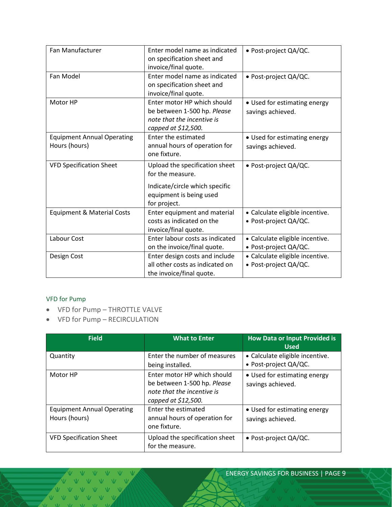| Fan Manufacturer                      | Enter model name as indicated<br>on specification sheet and | • Post-project QA/QC.           |
|---------------------------------------|-------------------------------------------------------------|---------------------------------|
|                                       | invoice/final quote.                                        |                                 |
| Fan Model                             | Enter model name as indicated                               | · Post-project QA/QC.           |
|                                       | on specification sheet and                                  |                                 |
|                                       | invoice/final quote.                                        |                                 |
| Motor HP                              | Enter motor HP which should                                 | • Used for estimating energy    |
|                                       | be between 1-500 hp. Please                                 | savings achieved.               |
|                                       | note that the incentive is                                  |                                 |
|                                       | capped at \$12,500.                                         |                                 |
| <b>Equipment Annual Operating</b>     | Enter the estimated                                         | • Used for estimating energy    |
| Hours (hours)                         | annual hours of operation for                               | savings achieved.               |
|                                       | one fixture.                                                |                                 |
| <b>VFD Specification Sheet</b>        | Upload the specification sheet                              | · Post-project QA/QC.           |
|                                       | for the measure.                                            |                                 |
|                                       | Indicate/circle which specific                              |                                 |
|                                       | equipment is being used                                     |                                 |
|                                       | for project.                                                |                                 |
| <b>Equipment &amp; Material Costs</b> | Enter equipment and material                                | • Calculate eligible incentive. |
|                                       | costs as indicated on the                                   | · Post-project QA/QC.           |
|                                       | invoice/final quote.                                        |                                 |
| Labour Cost                           | Enter labour costs as indicated                             | • Calculate eligible incentive. |
|                                       | on the invoice/final quote.                                 | • Post-project QA/QC.           |
| Design Cost                           | Enter design costs and include                              | • Calculate eligible incentive. |
|                                       | all other costs as indicated on                             | · Post-project QA/QC.           |
|                                       | the invoice/final quote.                                    |                                 |

#### VFD for Pump

- VFD for Pump THROTTLE VALVE
- VFD for Pump RECIRCULATION

| <b>Field</b>                                       | <b>What to Enter</b>                                                                                            | <b>How Data or Input Provided is</b><br><b>Used</b>      |
|----------------------------------------------------|-----------------------------------------------------------------------------------------------------------------|----------------------------------------------------------|
| Quantity                                           | Enter the number of measures<br>being installed.                                                                | • Calculate eligible incentive.<br>• Post-project QA/QC. |
| Motor HP                                           | Enter motor HP which should<br>be between 1-500 hp. Please<br>note that the incentive is<br>capped at \$12,500. | • Used for estimating energy<br>savings achieved.        |
| <b>Equipment Annual Operating</b><br>Hours (hours) | Enter the estimated<br>annual hours of operation for<br>one fixture.                                            | • Used for estimating energy<br>savings achieved.        |
| <b>VFD Specification Sheet</b>                     | Upload the specification sheet<br>for the measure.                                                              | • Post-project QA/QC.                                    |

V V V V V V V V V V V V  $\overline{M}$   $\overline{M}$   $\overline{M}$   $\overline{M}$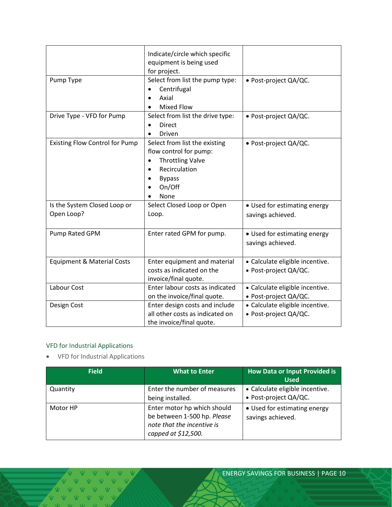|                                            | Indicate/circle which specific<br>equipment is being used<br>for project.                                                                           |                                                          |
|--------------------------------------------|-----------------------------------------------------------------------------------------------------------------------------------------------------|----------------------------------------------------------|
| Pump Type                                  | Select from list the pump type:<br>Centrifugal<br>$\bullet$<br>Axial<br><b>Mixed Flow</b><br>$\bullet$                                              | · Post-project QA/QC.                                    |
| Drive Type - VFD for Pump                  | Select from list the drive type:<br><b>Direct</b><br>Driven<br>$\bullet$                                                                            | · Post-project QA/QC.                                    |
| <b>Existing Flow Control for Pump</b>      | Select from list the existing<br>flow control for pump:<br><b>Throttling Valve</b><br>$\bullet$<br>Recirculation<br><b>Bypass</b><br>On/Off<br>None | · Post-project QA/QC.                                    |
| Is the System Closed Loop or<br>Open Loop? | Select Closed Loop or Open<br>Loop.                                                                                                                 | • Used for estimating energy<br>savings achieved.        |
| Pump Rated GPM                             | Enter rated GPM for pump.                                                                                                                           | • Used for estimating energy<br>savings achieved.        |
| <b>Equipment &amp; Material Costs</b>      | Enter equipment and material<br>costs as indicated on the<br>invoice/final quote.                                                                   | • Calculate eligible incentive.<br>· Post-project QA/QC. |
| Labour Cost                                | Enter labour costs as indicated<br>on the invoice/final quote.                                                                                      | • Calculate eligible incentive.<br>· Post-project QA/QC. |
| Design Cost                                | Enter design costs and include<br>all other costs as indicated on<br>the invoice/final quote.                                                       | • Calculate eligible incentive.<br>• Post-project QA/QC. |

## VFD for Industrial Applications

• VFD for Industrial Applications

| <b>Field</b> | <b>What to Enter</b>                                                                                            | <b>How Data or Input Provided is</b><br><b>Used</b>      |
|--------------|-----------------------------------------------------------------------------------------------------------------|----------------------------------------------------------|
| Quantity     | Enter the number of measures<br>being installed.                                                                | • Calculate eligible incentive.<br>• Post-project QA/QC. |
| Motor HP     | Enter motor hp which should<br>be between 1-500 hp. Please<br>note that the incentive is<br>capped at \$12,500. | • Used for estimating energy<br>savings achieved.        |

V V V V V VVVVV VVVV  $\sqrt{11}$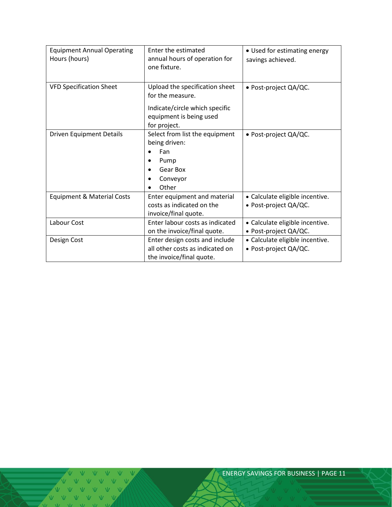| <b>Equipment Annual Operating</b><br>Hours (hours) | Enter the estimated<br>annual hours of operation for<br>one fixture.                                                            | • Used for estimating energy<br>savings achieved.        |
|----------------------------------------------------|---------------------------------------------------------------------------------------------------------------------------------|----------------------------------------------------------|
| <b>VFD Specification Sheet</b>                     | Upload the specification sheet<br>for the measure.<br>Indicate/circle which specific<br>equipment is being used<br>for project. | • Post-project QA/QC.                                    |
| <b>Driven Equipment Details</b>                    | Select from list the equipment<br>being driven:<br>Fan<br>Pump<br>Gear Box<br>Conveyor<br>Other                                 | · Post-project QA/QC.                                    |
| Equipment & Material Costs                         | Enter equipment and material<br>costs as indicated on the<br>invoice/final quote.                                               | • Calculate eligible incentive.<br>· Post-project QA/QC. |
| Labour Cost                                        | Enter labour costs as indicated<br>on the invoice/final quote.                                                                  | · Calculate eligible incentive.<br>· Post-project QA/QC. |
| Design Cost                                        | Enter design costs and include<br>all other costs as indicated on<br>the invoice/final quote.                                   | · Calculate eligible incentive.<br>· Post-project QA/QC. |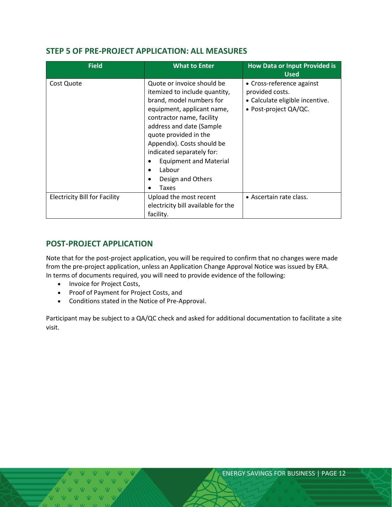## <span id="page-11-0"></span>**STEP 5 OF PRE-PROJECT APPLICATION: ALL MEASURES**

| <b>Field</b>                         | <b>What to Enter</b>                                                                                                                                                                                                                                                                                                                                          | <b>How Data or Input Provided is</b><br><b>Used</b>                                                      |
|--------------------------------------|---------------------------------------------------------------------------------------------------------------------------------------------------------------------------------------------------------------------------------------------------------------------------------------------------------------------------------------------------------------|----------------------------------------------------------------------------------------------------------|
| Cost Quote                           | Quote or invoice should be<br>itemized to include quantity,<br>brand, model numbers for<br>equipment, applicant name,<br>contractor name, facility<br>address and date (Sample<br>quote provided in the<br>Appendix). Costs should be<br>indicated separately for:<br><b>Equipment and Material</b><br>Labour<br>$\bullet$<br>Design and Others<br>Taxes<br>٠ | • Cross-reference against<br>provided costs.<br>• Calculate eligible incentive.<br>• Post-project QA/QC. |
| <b>Electricity Bill for Facility</b> | Upload the most recent<br>electricity bill available for the<br>facility.                                                                                                                                                                                                                                                                                     | • Ascertain rate class.                                                                                  |

## <span id="page-11-1"></span>**POST-PROJECT APPLICATION**

Note that for the post-project application, you will be required to confirm that no changes were made from the pre-project application, unless an Application Change Approval Notice was issued by ERA. In terms of documents required, you will need to provide evidence of the following:

- Invoice for Project Costs,
- Proof of Payment for Project Costs, and
- Conditions stated in the Notice of Pre-Approval.

Participant may be subject to a QA/QC check and asked for additional documentation to facilitate a site visit.